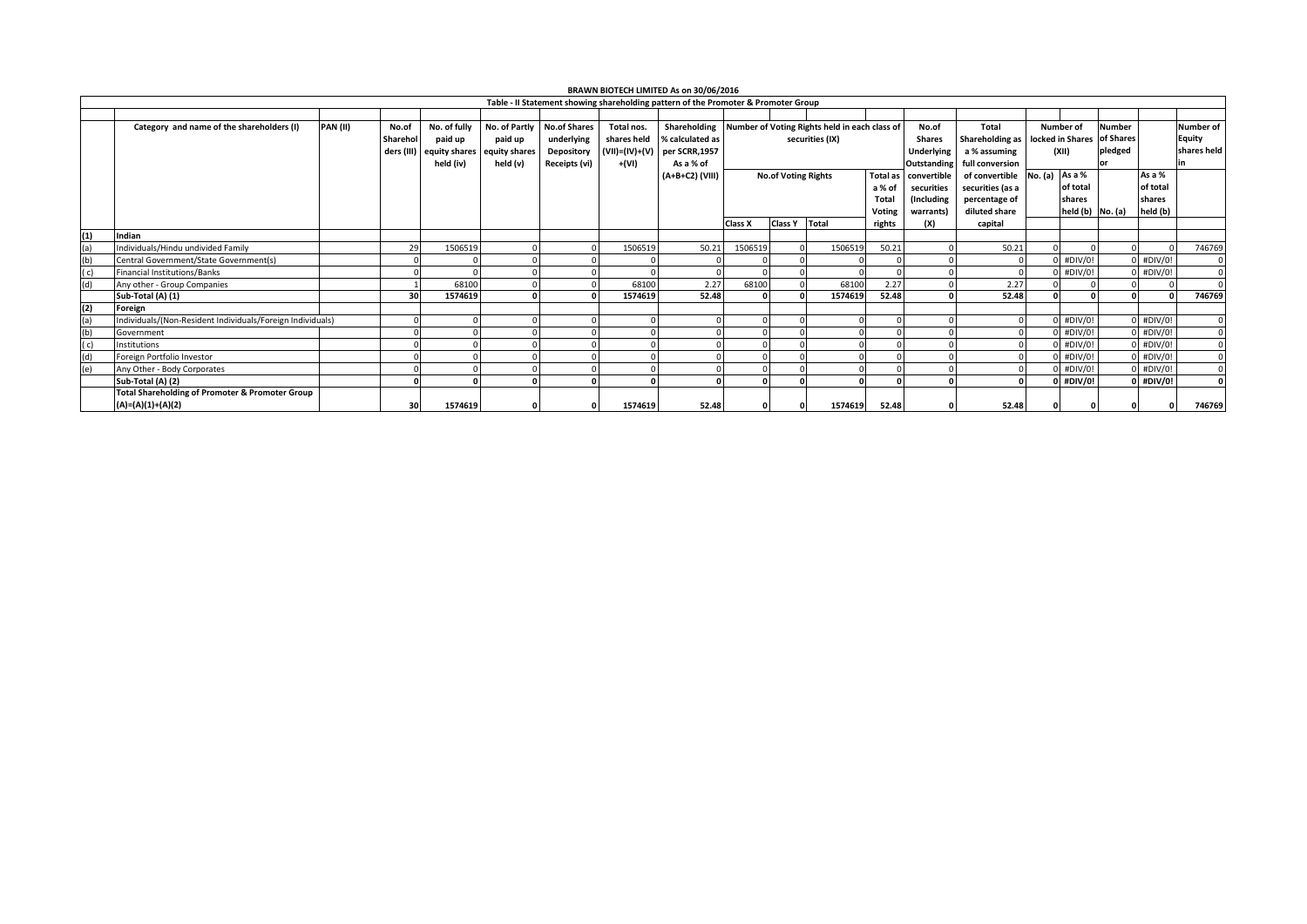| BRAWN BIOTECH LIMITED As on 30/06/2016                                             |                                                            |                          |               |                             |                     |                |                 |                                               |                 |         |                 |                    |                  |                            |                   |               |             |                  |
|------------------------------------------------------------------------------------|------------------------------------------------------------|--------------------------|---------------|-----------------------------|---------------------|----------------|-----------------|-----------------------------------------------|-----------------|---------|-----------------|--------------------|------------------|----------------------------|-------------------|---------------|-------------|------------------|
| Table - II Statement showing shareholding pattern of the Promoter & Promoter Group |                                                            |                          |               |                             |                     |                |                 |                                               |                 |         |                 |                    |                  |                            |                   |               |             |                  |
|                                                                                    |                                                            |                          |               |                             |                     |                |                 |                                               |                 |         |                 |                    |                  |                            |                   |               |             |                  |
|                                                                                    | Category and name of the shareholders (I)                  | <b>PAN (II)</b><br>No.of | No. of fully  | No. of Partly               | <b>No.of Shares</b> | Total nos.     | Shareholding    | Number of Voting Rights held in each class of |                 |         |                 | No.of              | Total            |                            | Number of         | <b>Number</b> |             | <b>Number of</b> |
|                                                                                    |                                                            | Sharehol                 | paid up       | paid up                     | underlying          | shares held    | % calculated as | securities (IX)                               |                 |         | <b>Shares</b>   |                    | Shareholding as  | locked in Shares of Shares |                   |               |             | Equity           |
|                                                                                    |                                                            | ders (III)               |               | equity shares equity shares | Depository          | (VII)=(IV)+(V) | per SCRR,1957   |                                               |                 |         | Underlying      |                    | a % assuming     | (XII)                      |                   | pledged       |             | shares held      |
|                                                                                    |                                                            |                          | held (iv)     | held (v)                    | Receipts (vi)       | +(VI)          | As a % of       |                                               |                 |         |                 | <b>Outstanding</b> | full conversion  |                            |                   |               |             |                  |
|                                                                                    |                                                            |                          |               |                             |                     |                | (A+B+C2) (VIII) | <b>No.of Voting Rights</b>                    |                 |         | <b>Total as</b> | convertible        | of convertible   | No. (a)                    | As a %            |               | As a %      |                  |
|                                                                                    |                                                            |                          |               |                             |                     |                |                 |                                               |                 |         | a % of          | securities         | securities (as a |                            | of total          |               | of total    |                  |
|                                                                                    |                                                            |                          |               |                             |                     |                |                 |                                               |                 |         | Total           | (Including         | percentage of    |                            | shares            |               | shares      |                  |
|                                                                                    |                                                            |                          |               |                             |                     |                |                 |                                               |                 |         | Voting          | warrants)          | diluted share    |                            | $held(b)$ No. (a) |               | held (b)    |                  |
|                                                                                    |                                                            |                          |               |                             |                     |                |                 | Class X                                       | Class Y   Total |         | rights          | (X)                | capital          |                            |                   |               |             |                  |
| (1)                                                                                | Indian                                                     |                          |               |                             |                     |                |                 |                                               |                 |         |                 |                    |                  |                            |                   |               |             |                  |
| (a)                                                                                | Individuals/Hindu undivided Family                         |                          | 29<br>1506519 |                             |                     | 1506519        | 50.21           | 1506519                                       |                 | 1506519 | 50.21           |                    | 50.21            |                            |                   |               |             | 746769           |
| (b)                                                                                | Central Government/State Government(s)                     |                          |               |                             |                     |                |                 |                                               |                 |         |                 |                    |                  |                            | $0$ #DIV/0!       |               | $0$ #DIV/0! |                  |
| (C)                                                                                | <b>Financial Institutions/Banks</b>                        |                          |               |                             |                     |                |                 |                                               |                 |         |                 |                    |                  |                            | $0$ #DIV/0!       |               | $0$ #DIV/0! |                  |
| (d)                                                                                | Any other - Group Companies                                |                          | 68100         |                             |                     | 68100          | 2.27            | 68100                                         |                 | 68100   | 2.27            |                    | 2.27             |                            |                   |               |             |                  |
|                                                                                    | Sub-Total (A) (1)                                          |                          | 30<br>1574619 |                             |                     | 1574619        | 52.48           |                                               |                 | 1574619 | 52.48           |                    | 52.48            |                            |                   |               | O           | 746769           |
| (2)                                                                                | Foreign                                                    |                          |               |                             |                     |                |                 |                                               |                 |         |                 |                    |                  |                            |                   |               |             |                  |
| (a)                                                                                | Individuals/(Non-Resident Individuals/Foreign Individuals) |                          |               |                             |                     |                |                 |                                               |                 |         |                 |                    |                  |                            | $0$ #DIV/0!       |               | $0$ #DIV/0! |                  |
| (b)                                                                                | Government                                                 |                          |               |                             |                     |                |                 |                                               |                 |         |                 |                    |                  |                            | $0$ #DIV/0!       |               | $0$ #DIV/0! |                  |
| (c)                                                                                | Institutions                                               |                          |               |                             |                     |                |                 |                                               |                 |         |                 |                    |                  |                            | $0$ #DIV/0!       |               | $0$ #DIV/0! |                  |
| (d)                                                                                | Foreign Portfolio Investor                                 |                          |               |                             |                     |                |                 |                                               |                 |         |                 |                    |                  |                            | $0$ #DIV/0!       |               | $0$ #DIV/0! |                  |
| (e)                                                                                | Any Other - Body Corporates                                |                          |               |                             |                     |                |                 |                                               |                 |         |                 |                    |                  |                            | $0$ #DIV/0!       |               | $0$ #DIV/0! |                  |
|                                                                                    | Sub-Total (A) (2)                                          |                          |               |                             |                     |                |                 |                                               |                 | 0       |                 |                    |                  |                            | $0$ #DIV/0!       |               | $0$ #DIV/0! |                  |
|                                                                                    | <b>Total Shareholding of Promoter &amp; Promoter Group</b> |                          |               |                             |                     |                |                 |                                               |                 |         |                 |                    |                  |                            |                   |               |             |                  |
|                                                                                    | (A)=(A)(1)+(A)(2)                                          |                          | 30<br>1574619 |                             |                     | 1574619        | 52.48           |                                               |                 | 1574619 | 52.48           |                    | 52.48            |                            |                   |               |             | 746769           |